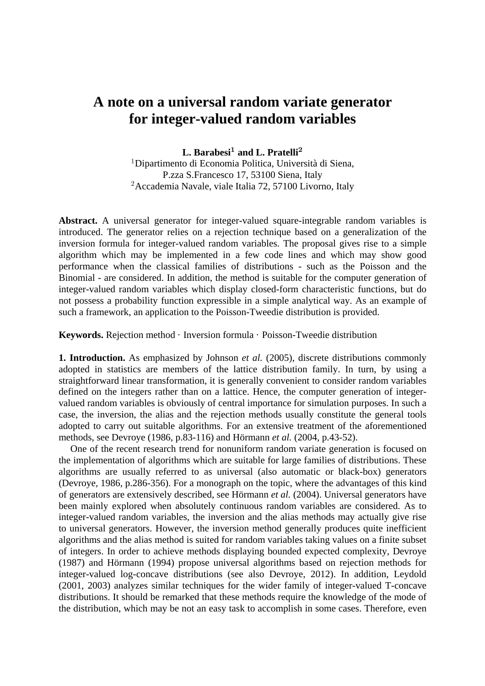## **A note on a universal random variate generator for integer-valued random variables**

**L. Barabesi<sup>1</sup> and <b>L. Pratelli**<sup>2</sup>

"Dipartimento di Economia Politica, Università di Siena, P.zza S.Francesco 17, 53100 Siena, Italy  ${}^{2}$ Accademia Navale, viale Italia 72, 57100 Livorno, Italy

**Abstract.** A universal generator for integer-valued square-integrable random variables is introduced. The generator relies on a rejection technique based on a generalization of the inversion formula for integer-valued random variables. The proposal gives rise to a simple algorithm which may be implemented in a few code lines and which may show good performance when the classical families of distributions - such as the Poisson and the Binomial - are considered. In addition, the method is suitable for the computer generation of integer-valued random variables which display closed-form characteristic functions, but do not possess a probability function expressible in a simple analytical way. As an example of such a framework, an application to the Poisson-Tweedie distribution is provided.

**Keywords.** Rejection method · Inversion formula · Poisson-Tweedie distribution

**1. Introduction.** As emphasized by Johnson *et al.* (2005), discrete distributions commonly adopted in statistics are members of the lattice distribution family. In turn, by using a straightforward linear transformation, it is generally convenient to consider random variables defined on the integers rather than on a lattice. Hence, the computer generation of integervalued random variables is obviously of central importance for simulation purposes. In such a case, the inversion, the alias and the rejection methods usually constitute the general tools adopted to carry out suitable algorithms. For an extensive treatment of the aforementioned methods, see Devroye (1986, p.83-116) and Hörmann *et al.* (2004, p.43-52).

One of the recent research trend for nonuniform random variate generation is focused on the implementation of algorithms which are suitable for large families of distributions. These algorithms are usually referred to as universal (also automatic or black-box) generators (Devroye, 1986, p.286-356). For a monograph on the topic, where the advantages of this kind of generators are extensively described, see Hörmann *et al.* (2004). Universal generators have been mainly explored when absolutely continuous random variables are considered. As to integer-valued random variables, the inversion and the alias methods may actually give rise to universal generators. However, the inversion method generally produces quite inefficient algorithms and the alias method is suited for random variables taking values on a finite subset of integers. In order to achieve methods displaying bounded expected complexity, Devroye (1987) and Hörmann (1994) propose universal algorithms based on rejection methods for integer-valued log-concave distributions (see also Devroye, 2012). In addition, Leydold (2001, 2003) analyzes similar techniques for the wider family of integer-valued T-concave distributions. It should be remarked that these methods require the knowledge of the mode of the distribution, which may be not an easy task to accomplish in some cases. Therefore, even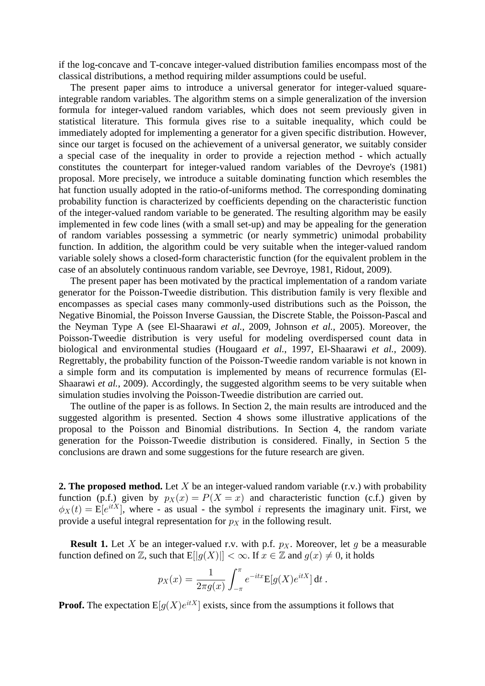if the log-concave and T-concave integer-valued distribution families encompass most of the classical distributions, a method requiring milder assumptions could be useful.

The present paper aims to introduce a universal generator for integer-valued squareintegrable random variables. The algorithm stems on a simple generalization of the inversion formula for integer-valued random variables, which does not seem previously given in statistical literature. This formula gives rise to a suitable inequality, which could be immediately adopted for implementing a generator for a given specific distribution. However, since our target is focused on the achievement of a universal generator, we suitably consider a special case of the inequality in order to provide a rejection method - which actually constitutes the counterpart for integer-valued random variables of the Devroye's (1981) proposal. More precisely, we introduce a suitable dominating function which resembles the hat function usually adopted in the ratio-of-uniforms method. The corresponding dominating probability function is characterized by coefficients depending on the characteristic function of the integer-valued random variable to be generated. The resulting algorithm may be easily implemented in few code lines (with a small set-up) and may be appealing for the generation of random variables possessing a symmetric (or nearly symmetric) unimodal probability function. In addition, the algorithm could be very suitable when the integer-valued random variable solely shows a closed-form characteristic function (for the equivalent problem in the case of an absolutely continuous random variable, see Devroye, 1981, Ridout, 2009).

The present paper has been motivated by the practical implementation of a random variate generator for the Poisson-Tweedie distribution. This distribution family is very flexible and encompasses as special cases many commonly-used distributions such as the Poisson, the Negative Binomial, the Poisson Inverse Gaussian, the Discrete Stable, the Poisson-Pascal and the Neyman Type A (see El-Shaarawi *et al.*, 2009, Johnson *et al.*, 2005). Moreover, the Poisson-Tweedie distribution is very useful for modeling overdispersed count data in biological and environmental studies (Hougaard et al., 1997, El-Shaarawi et al., 2009). Regrettably, the probability function of the Poisson-Tweedie random variable is not known in a simple form and its computation is implemented by means of recurrence formulas (El-Shaarawi et al., 2009). Accordingly, the suggested algorithm seems to be very suitable when simulation studies involving the Poisson-Tweedie distribution are carried out.

The outline of the paper is as follows. In Section 2, the main results are introduced and the suggested algorithm is presented. Section 4 shows some illustrative applications of the proposal to the Poisson and Binomial distributions. In Section 4, the random variate generation for the Poisson-Tweedie distribution is considered. Finally, in Section 5 the conclusions are drawn and some suggestions for the future research are given.

**2. The proposed method.** Let X be an integer-valued random variable (r.v.) with probability function (p.f.) given by  $p_X(x) = P(X = x)$  and characteristic function (c.f.) given by  $\phi_X(t) = E[e^{itX}]$ , where - as usual - the symbol *i* represents the imaginary unit. First, we provide a useful integral representation for  $p<sub>X</sub>$  in the following result.

**Result 1.** Let X be an integer-valued r.v. with p.f.  $p<sub>X</sub>$ . Moreover, let g be a measurable function defined on  $\mathbb{Z}$ , such that  $E[|g(X)|] < \infty$ . If  $x \in \mathbb{Z}$  and  $g(x) \neq 0$ , it holds

$$
p_X(x) = \frac{1}{2\pi g(x)} \int_{-\pi}^{\pi} e^{-itx} \mathbb{E}[g(X)e^{itX}] dt.
$$

**Proof.** The expectation  $E[q(X)e^{itX}]$  exists, since from the assumptions it follows that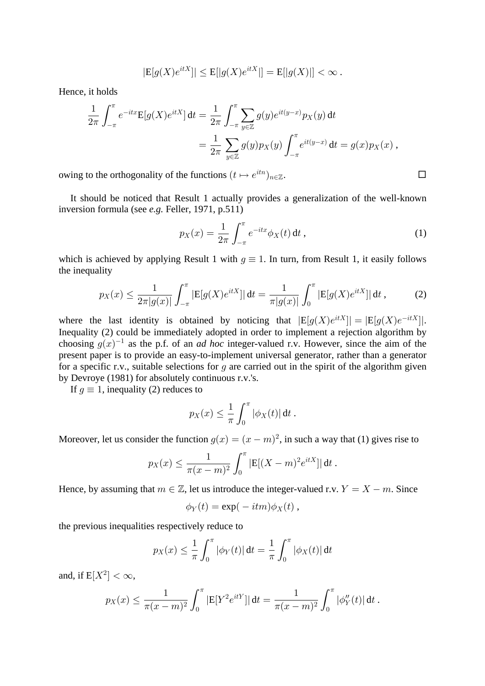$$
|E[g(X)e^{itX}]| \le E[|g(X)e^{itX}|] = E[|g(X)|] < \infty.
$$

Hence, it holds

$$
\frac{1}{2\pi} \int_{-\pi}^{\pi} e^{-itx} E[g(X)e^{itX}] dt = \frac{1}{2\pi} \int_{-\pi}^{\pi} \sum_{y \in \mathbb{Z}} g(y)e^{it(y-x)} p_X(y) dt \n= \frac{1}{2\pi} \sum_{y \in \mathbb{Z}} g(y) p_X(y) \int_{-\pi}^{\pi} e^{it(y-x)} dt = g(x) p_X(x) ,
$$

owing to the orthogonality of the functions  $(t \mapsto e^{itn})_{n \in \mathbb{Z}}$ .  $n \in \mathbb{Z}$  .  $\Box$ 

It should be noticed that Result 1 actually provides a generalization of the well-known inversion formula (see *e.g.* Feller, 1971, p.511)

$$
p_X(x) = \frac{1}{2\pi} \int_{-\pi}^{\pi} e^{-itx} \phi_X(t) dt,
$$
 (1)

which is achieved by applying Result 1 with  $q \equiv 1$ . In turn, from Result 1, it easily follows the inequality

$$
p_X(x) \le \frac{1}{2\pi|g(x)|} \int_{-\pi}^{\pi} |E[g(X)e^{itX}]| dt = \frac{1}{\pi|g(x)|} \int_0^{\pi} |E[g(X)e^{itX}]| dt , \qquad (2)
$$

where the last identity is obtained by noticing that  $|E[g(X)e^{itX}]| = |E[g(X)e^{-itX}]|$ . Inequality (2) could be immediately adopted in order to implement a rejection algorithm by choosing  $q(x)^{-1}$  as the p.f. of an *ad hoc* integer-valued r.v. However, since the aim of the present paper is to provide an easy-to-implement universal generator, rather than a generator for a specific r.v., suitable selections for q are carried out in the spirit of the algorithm given by Devroye (1981) for absolutely continuous r.v.'s.

If  $g \equiv 1$ , inequality (2) reduces to

$$
p_X(x) \leq \frac{1}{\pi} \int_0^{\pi} |\phi_X(t)| dt.
$$

Moreover, let us consider the function  $g(x) = (x - m)^2$ , in such a way that (1) gives rise to

$$
p_X(x) \le \frac{1}{\pi(x-m)^2} \int_0^{\pi} |E[(X-m)^2 e^{itX}]| dt
$$
.

Hence, by assuming that  $m \in \mathbb{Z}$ , let us introduce the integer-valued r.v.  $Y = X - m$ . Since

$$
\phi_Y(t) = \exp(-itm)\phi_X(t) ,
$$

the previous inequalities respectively reduce to

$$
p_X(x) \leq \frac{1}{\pi} \int_0^{\pi} |\phi_Y(t)| dt = \frac{1}{\pi} \int_0^{\pi} |\phi_X(t)| dt
$$

and, if  $E[X^2] < \infty$ ,

$$
p_X(x) \leq \frac{1}{\pi(x-m)^2} \int_0^{\pi} |E[Y^2 e^{itY}]| dt = \frac{1}{\pi(x-m)^2} \int_0^{\pi} |\phi_Y''(t)| dt.
$$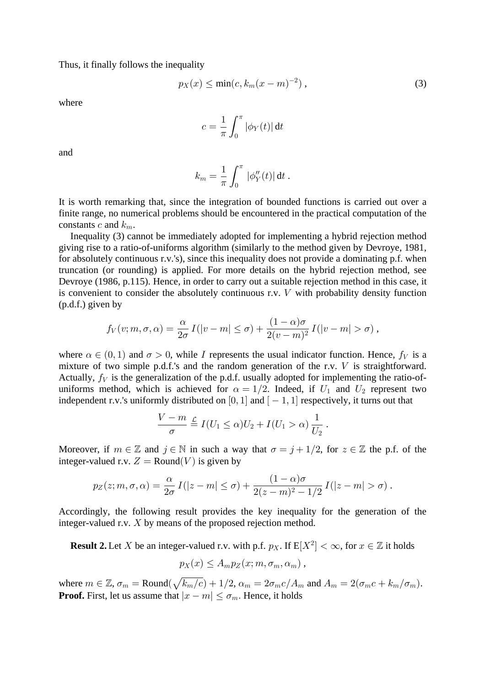Thus, it finally follows the inequality

$$
p_X(x) \le \min(c, k_m(x-m)^{-2}), \qquad (3)
$$

where

$$
c=\frac{1}{\pi}\int_0^\pi |\phi_Y(t)|\,\mathrm{d} t
$$

and

$$
k_m = \frac{1}{\pi} \int_0^{\pi} |\phi''_Y(t)| dt .
$$

It is worth remarking that, since the integration of bounded functions is carried out over a finite range, no numerical problems should be encountered in the practical computation of the constants c and  $k_m$ .

Inequality (3) cannot be immediately adopted for implementing a hybrid rejection method giving rise to a ratio-of-uniforms algorithm (similarly to the method given by Devroye, 1981, for absolutely continuous r.v.'s), since this inequality does not provide a dominating p.f. when truncation (or rounding) is applied. For more details on the hybrid rejection method, see Devroye (1986, p.115). Hence, in order to carry out a suitable rejection method in this case, it is convenient to consider the absolutely continuous r.v.  $V$  with probability density function (p.d.f.) given by

$$
f_V(v; m, \sigma, \alpha) = \frac{\alpha}{2\sigma} I(|v - m| \le \sigma) + \frac{(1 - \alpha)\sigma}{2(v - m)^2} I(|v - m| > \sigma) ,
$$

where  $\alpha \in (0, 1)$  and  $\sigma > 0$ , while I represents the usual indicator function. Hence,  $f_V$  is a mixture of two simple p.d.f.'s and the random generation of the r.v.  $V$  is straightforward. Actually,  $f_V$  is the generalization of the p.d.f. usually adopted for implementing the ratio-ofuniforms method, which is achieved for  $\alpha = 1/2$ . Indeed, if  $U_1$  and  $U_2$  represent two independent r.v.'s uniformly distributed on [0, 1] and  $[-1, 1]$  respectively, it turns out that

$$
\frac{V-m}{\sigma}\stackrel{\mathcal{L}}{=} I(U_1\leq \alpha)U_2+I(U_1>\alpha)\frac{1}{U_2}.
$$

Moreover, if  $m \in \mathbb{Z}$  and  $j \in \mathbb{N}$  in such a way that  $\sigma = j + 1/2$ , for  $z \in \mathbb{Z}$  the p.f. of the integer-valued r.v.  $Z = \text{Round}(V)$  is given by

$$
p_Z(z;m,\sigma,\alpha)=\frac{\alpha}{2\sigma}\,I(|z-m|\leq\sigma)+\frac{(1-\alpha)\sigma}{2(z-m)^2-1/2}\,I(|z-m|>\sigma)\,.
$$

Accordingly, the following result provides the key inequality for the generation of the integer-valued r.v.  $X$  by means of the proposed rejection method.

**Result 2.** Let X be an integer-valued r.v. with p.f.  $p_X$ . If  $E[X^2] < \infty$ , for  $x \in \mathbb{Z}$  it holds  $p_X(x) \leq A_m p_Z(x; m, \sigma_m, \alpha_m)$ ,

where  $m \in \mathbb{Z}$ ,  $\sigma_m = \text{Round}(\sqrt{k_m/c}) + 1/2$ ,  $\alpha_m = 2\sigma_m c/A_m$  and  $A_m = 2(\sigma_m c + k_m/\sigma_m)$ . **Proof.** First, let us assume that  $|x - m| \le \sigma_m$ . Hence, it holds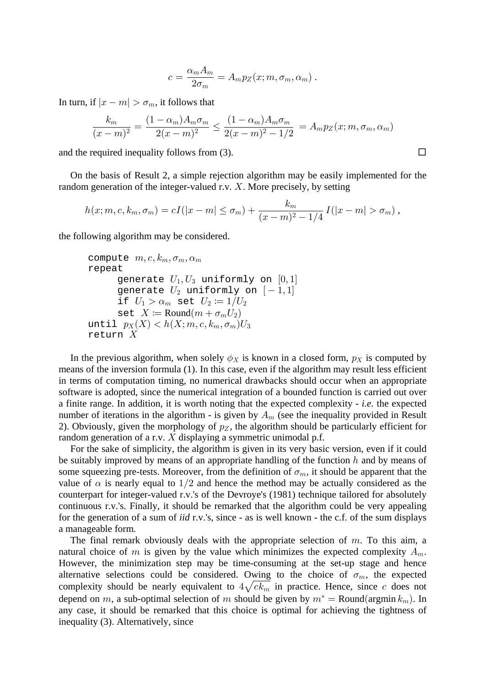$$
c = \frac{\alpha_m A_m}{2\sigma_m} = A_m p_Z(x; m, \sigma_m, \alpha_m).
$$

In turn, if  $|x - m| > \sigma_m$ , it follows that

$$
\frac{k_m}{(x-m)^2} = \frac{(1-\alpha_m)A_m\sigma_m}{2(x-m)^2} \le \frac{(1-\alpha_m)A_m\sigma_m}{2(x-m)^2 - 1/2} = A_m p_Z(x; m, \sigma_m, \alpha_m)
$$

and the required inequality follows from (3).

On the basis of Result 2, a simple rejection algorithm may be easily implemented for the random generation of the integer-valued r.v.  $X$ . More precisely, by setting

$$
h(x; m, c, k_m, \sigma_m) = cI(|x - m| \leq \sigma_m) + \frac{k_m}{(x - m)^2 - 1/4} I(|x - m| > \sigma_m),
$$

the following algorithm may be considered.

```
compute m, c, k_m, \sigma_m, \alpha_mrepeat
generate U_1, U_3 uniformly on [0,1]
generate U_2 uniformly on [-1,1]if U_1 > \alpha_m set U_2 := 1/U_2set X \coloneqq \text{Round}(m + \sigma_m U_2)until p_X(X) < h(X; m, c, k_m, \sigma_m)U_3return X
```
In the previous algorithm, when solely  $\phi_X$  is known in a closed form,  $p_X$  is computed by means of the inversion formula (1). In this case, even if the algorithm may result less efficient in terms of computation timing, no numerical drawbacks should occur when an appropriate software is adopted, since the numerical integration of a bounded function is carried out over a finite range. In addition, it is worth noting that the expected complexity  $-$  *i.e.* the expected number of iterations in the algorithm - is given by  $A_m$  (see the inequality provided in Result 2). Obviously, given the morphology of  $p_Z$ , the algorithm should be particularly efficient for random generation of a r.v.  $X$  displaying a symmetric unimodal p.f.

For the sake of simplicity, the algorithm is given in its very basic version, even if it could be suitably improved by means of an appropriate handling of the function  $h$  and by means of some squeezing pre-tests. Moreover, from the definition of  $\sigma_m$ , it should be apparent that the value of  $\alpha$  is nearly equal to 1/2 and hence the method may be actually considered as the counterpart for integer-valued r.v.'s of the Devroye's (1981) technique tailored for absolutely continuous r.v.'s. Finally, it should be remarked that the algorithm could be very appealing for the generation of a sum of *iid* r.v.'s, since - as is well known - the c.f. of the sum displays a manageable form.

The final remark obviously deals with the appropriate selection of  $m$ . To this aim, a natural choice of m is given by the value which minimizes the expected complexity  $A_m$ . However, the minimization step may be time-consuming at the set-up stage and hence alternative selections could be considered. Owing to the choice of  $\sigma_m$ , the expected complexity should be nearly equivalent to  $4\sqrt{ck_m}$  in practice. Hence, since c does not depend on m, a sub-optimal selection of m should be given by  $m^* = \text{Round}(\text{argmin } k_m)$ . In any case, it should be remarked that this choice is optimal for achieving the tightness of inequality (3). Alternatively, since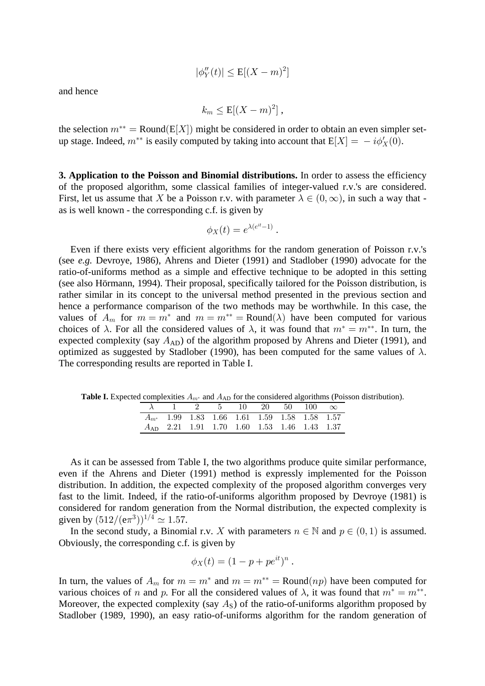$$
|\phi_Y''(t)| \le \mathbb{E}[(X-m)^2]
$$

and hence

$$
k_m \leq \mathrm{E}[(X-m)^2],
$$

the selection  $m^{**} = \text{Round}(E[X])$  might be considered in order to obtain an even simpler setup stage. Indeed,  $m^{**}$  is easily computed by taking into account that  $E[X] = -i\phi'_X(0)$ .

3. Application to the Poisson and Binomial distributions. In order to assess the efficiency of the proposed algorithm, some classical families of integer-valued r.v.'s are considered. First, let us assume that X be a Poisson r.v. with parameter  $\lambda \in (0, \infty)$ , in such a way that as is well known - the corresponding c.f. is given by

$$
\phi_X(t) = e^{\lambda(e^{it}-1)}.
$$

Even if there exists very efficient algorithms for the random generation of Poisson r.v.'s (see e.g. Devroye, 1986), Ahrens and Dieter (1991) and Stadlober (1990) advocate for the ratio-of-uniforms method as a simple and effective technique to be adopted in this setting (see also Hörmann, 1994). Their proposal, specifically tailored for the Poisson distribution, is rather similar in its concept to the universal method presented in the previous section and hence a performance comparison of the two methods may be worthwhile. In this case, the values of  $A_m$  for  $m = m^*$  and  $m = m^{**} = \text{Round}(\lambda)$  have been computed for various choices of  $\lambda$ . For all the considered values of  $\lambda$ , it was found that  $m^* = m^{**}$ . In turn, the expected complexity (say  $A_{AD}$ ) of the algorithm proposed by Ahrens and Dieter (1991), and optimized as suggested by Stadlober (1990), has been computed for the same values of  $\lambda$ . The corresponding results are reported in Table I.

**Table I.** Expected complexities  $A_{m^*}$  and  $A_{AD}$  for the considered algorithms (Poisson distribution).

| $1 \t 2 \t 5 \t 10 \t 20 \t 50 \t 100 \t \infty$  |  |  |  |  |
|---------------------------------------------------|--|--|--|--|
| $A_{m^*}$ 1.99 1.83 1.66 1.61 1.59 1.58 1.58 1.57 |  |  |  |  |
| $A_{AD}$ 2.21 1.91 1.70 1.60 1.53 1.46 1.43 1.37  |  |  |  |  |

As it can be assessed from Table I, the two algorithms produce quite similar performance, even if the Ahrens and Dieter (1991) method is expressly implemented for the Poisson distribution. In addition, the expected complexity of the proposed algorithm converges very fast to the limit. Indeed, if the ratio-of-uniforms algorithm proposed by Devroye (1981) is considered for random generation from the Normal distribution, the expected complexity is given by  $(512/(\text{e} \pi^3))^{1/4} \simeq 1.57$ .

In the second study, a Binomial r.v. X with parameters  $n \in \mathbb{N}$  and  $p \in (0, 1)$  is assumed. Obviously, the corresponding c.f. is given by

$$
\phi_X(t) = (1 - p + pe^{it})^n.
$$

In turn, the values of  $A_m$  for  $m = m^*$  and  $m = m^{**} = \text{Round}(np)$  have been computed for various choices of n and p. For all the considered values of  $\lambda$ , it was found that  $m^* = m^{**}$ . Moreover, the expected complexity (say  $A_s$ ) of the ratio-of-uniforms algorithm proposed by Stadlober (1989, 1990), an easy ratio-of-uniforms algorithm for the random generation of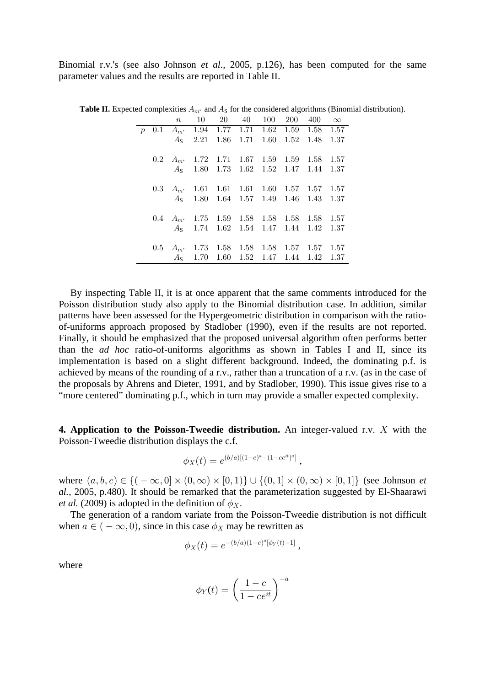Binomial r.v.'s (see also Johnson *et al.*, 2005, p.126), has been computed for the same parameter values and the results are reported in Table II.

|                 | $\,n$ | 10 20 40 100                                      |  |  | 200 400 $\infty$ |      |
|-----------------|-------|---------------------------------------------------|--|--|------------------|------|
| $p_{\parallel}$ |       | 0.1 $A_{m^*}$ 1.94 1.77 1.71 1.62 1.59 1.58 1.57  |  |  |                  |      |
|                 |       | $AS$ 2.21 1.86 1.71 1.60 1.52 1.48                |  |  |                  | 1.37 |
|                 |       | 0.2 $A_{m^*}$ 1.72 1.71 1.67 1.59 1.59 1.58 1.57  |  |  |                  |      |
|                 |       | $AS$ 1.80 1.73 1.62 1.52 1.47 1.44 1.37           |  |  |                  |      |
|                 |       | 0.3 $A_{m^*}$ 1.61 1.61 1.61 1.60 1.57 1.57 1.57  |  |  |                  |      |
|                 |       | A <sub>s</sub> 1.80 1.64 1.57 1.49 1.46 1.43 1.37 |  |  |                  |      |
|                 |       | 0.4 $A_{m^*}$ 1.75 1.59 1.58 1.58 1.58 1.58 1.57  |  |  |                  |      |
|                 |       | $AS$ 1.74 1.62 1.54 1.47 1.44 1.42 1.37           |  |  |                  |      |
|                 |       | 0.5 $A_{m^*}$ 1.73 1.58 1.58 1.58 1.57 1.57 1.57  |  |  |                  |      |
|                 |       | $AS$ 1.70 1.60 1.52 1.47 1.44 1.42 1.37           |  |  |                  |      |

**Table II.** Expected complexities  $A_{m^*}$  and  $A_S$  for the considered algorithms (Binomial distribution).

By inspecting Table II, it is at once apparent that the same comments introduced for the Poisson distribution study also apply to the Binomial distribution case. In addition, similar patterns have been assessed for the Hypergeometric distribution in comparison with the ratioof-uniforms approach proposed by Stadlober (1990), even if the results are not reported. Finally, it should be emphasized that the proposed universal algorithm often performs better than the *ad hoc* ratio-of-uniforms algorithms as shown in Tables I and II, since its implementation is based on a slight different background. Indeed, the dominating p.f. is achieved by means of the rounding of a r.v., rather than a truncation of a r.v. (as in the case of the proposals by Ahrens and Dieter, 1991, and by Stadlober, 1990). This issue gives rise to a "more centered" dominating p.f., which in turn may provide a smaller expected complexity.

**4. Application to the Poisson-Tweedie distribution.** An integer-valued r.v. X with the Poisson-Tweedie distribution displays the c.f.

$$
\phi_X(t) = e^{(b/a)[(1-c)^a - (1-ce^{it})^a]},
$$

where  $(a, b, c) \in \{(-\infty, 0] \times (0, \infty) \times [0, 1]\} \cup \{(0, 1] \times (0, \infty) \times [0, 1]\}$  (see Johnson *et al.*, 2005, p.480). It should be remarked that the parameterization suggested by El-Shaarawi *et al.* (2009) is adopted in the definition of  $\phi_X$ .

The generation of a random variate from the Poisson-Tweedie distribution is not difficult when  $a \in (-\infty, 0)$ , since in this case  $\phi_X$  may be rewritten as

$$
\phi_X(t) = e^{-(b/a)(1-c)^a[\phi_Y(t)-1]},
$$

where

$$
\phi_Y(t) = \left(\frac{1-c}{1-ce^{it}}\right)^{-a}
$$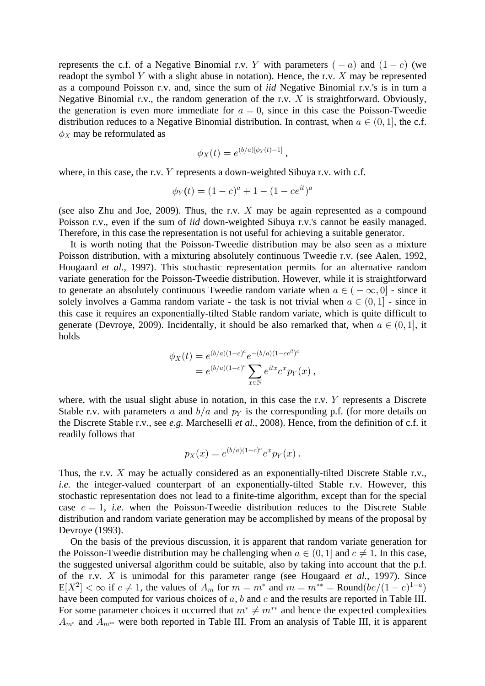represents the c.f. of a Negative Binomial r.v. Y with parameters  $(-a)$  and  $(1-c)$  (we readopt the symbol Y with a slight abuse in notation). Hence, the r.v. X may be represented as a compound Poisson r.v. and, since the sum of *iid* Negative Binomial r.v.'s is in turn a Negative Binomial r.v., the random generation of the r.v.  $X$  is straightforward. Obviously, the generation is even more immediate for  $a = 0$ , since in this case the Poisson-Tweedie distribution reduces to a Negative Binomial distribution. In contrast, when  $a \in (0, 1]$ , the c.f.  $\phi_X$  may be reformulated as

$$
\phi_X(t) = e^{(b/a)[\phi_Y(t)-1]},
$$

where, in this case, the r.v.  $Y$  represents a down-weighted Sibuya r.v. with c.f.

$$
\phi_Y(t) = (1 - c)^a + 1 - (1 - ce^{it})^a
$$

(see also Zhu and Joe, 2009). Thus, the r.v.  $X$  may be again represented as a compound Poisson r.v., even if the sum of *iid* down-weighted Sibuya r.v.'s cannot be easily managed. Therefore, in this case the representation is not useful for achieving a suitable generator.

It is worth noting that the Poisson-Tweedie distribution may be also seen as a mixture Poisson distribution, with a mixturing absolutely continuous Tweedie r.v. (see Aalen, 1992, Hougaard *et al.*, 1997). This stochastic representation permits for an alternative random variate generation for the Poisson-Tweedie distribution. However, while it is straightforward to generate an absolutely continuous Tweedie random variate when  $a \in (-\infty, 0]$  - since it solely involves a Gamma random variate - the task is not trivial when  $a \in (0, 1]$  - since in this case it requires an exponentially-tilted Stable random variate, which is quite difficult to generate (Devroye, 2009). Incidentally, it should be also remarked that, when  $a \in (0, 1]$ , it holds

$$
\phi_X(t) = e^{(b/a)(1-c)^a} e^{-(b/a)(1-ce^{it})^a}
$$
  
=  $e^{(b/a)(1-c)^a} \sum_{x \in \mathbb{N}} e^{itx} c^x p_Y(x)$ ,

where, with the usual slight abuse in notation, in this case the r.v.  $Y$  represents a Discrete Stable r.v. with parameters a and  $b/a$  and  $p<sub>Y</sub>$  is the corresponding p.f. (for more details on the Discrete Stable r.v., see e.g. Marcheselli et al., 2008). Hence, from the definition of c.f. it readily follows that

$$
p_X(x) = e^{(b/a)(1-c)^a} c^x p_Y(x) \ .
$$

Thus, the r.v.  $X$  may be actually considered as an exponentially-tilted Discrete Stable r.v., *i.e.* the integer-valued counterpart of an exponentially-tilted Stable r.v. However, this stochastic representation does not lead to a finite-time algorithm, except than for the special case  $c = 1$ , *i.e.* when the Poisson-Tweedie distribution reduces to the Discrete Stable distribution and random variate generation may be accomplished by means of the proposal by Devroye (1993).

On the basis of the previous discussion, it is apparent that random variate generation for the Poisson-Tweedie distribution may be challenging when  $a \in (0, 1]$  and  $c \neq 1$ . In this case, the suggested universal algorithm could be suitable, also by taking into account that the p.f. of the r.v.  $X$  is unimodal for this parameter range (see Hougaard *et al.*, 1997). Since  $E[X^2] < \infty$  if  $c \neq 1$ , the values of  $A_m$  for  $m = m^*$  and  $m = m^{**} = \text{Round}(bc/(1-c)^{1-a})$ have been computed for various choices of  $a$ ,  $b$  and  $c$  and the results are reported in Table III. For some parameter choices it occurred that  $m^* \neq m^{**}$  and hence the expected complexities  $A_{m^*}$  and  $A_{m^{**}}$  were both reported in Table III. From an analysis of Table III, it is apparent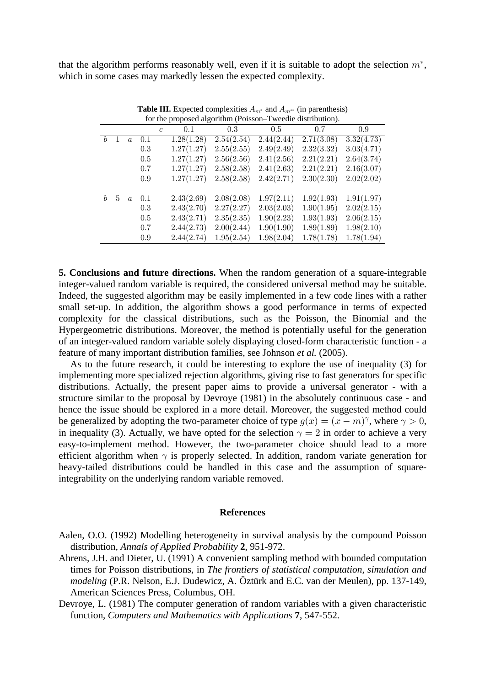that the algorithm performs reasonably well, even if it is suitable to adopt the selection  $m^*$ , which in some cases may markedly lessen the expected complexity.

|                  | TOT the proposed argorithm (FOISSON-T weedie distribution). |                  |     |                      |            |            |            |            |  |  |  |
|------------------|-------------------------------------------------------------|------------------|-----|----------------------|------------|------------|------------|------------|--|--|--|
|                  |                                                             |                  |     | 0.1<br>$\mathfrak c$ | 0.3        | 0.5        | 0.7        | 0.9        |  |  |  |
| $\boldsymbol{b}$ | 1                                                           | $\boldsymbol{a}$ | 0.1 | 1.28(1.28)           | 2.54(2.54) | 2.44(2.44) | 2.71(3.08) | 3.32(4.73) |  |  |  |
|                  |                                                             |                  | 0.3 | 1.27(1.27)           | 2.55(2.55) | 2.49(2.49) | 2.32(3.32) | 3.03(4.71) |  |  |  |
|                  |                                                             |                  | 0.5 | 1.27(1.27)           | 2.56(2.56) | 2.41(2.56) | 2.21(2.21) | 2.64(3.74) |  |  |  |
|                  |                                                             |                  | 0.7 | 1.27(1.27)           | 2.58(2.58) | 2.41(2.63) | 2.21(2.21) | 2.16(3.07) |  |  |  |
|                  |                                                             |                  | 0.9 | 1.27(1.27)           | 2.58(2.58) | 2.42(2.71) | 2.30(2.30) | 2.02(2.02) |  |  |  |
|                  |                                                             |                  |     |                      |            |            |            |            |  |  |  |
| h                | 5                                                           | $\alpha$         | 0.1 | 2.43(2.69)           | 2.08(2.08) | 1.97(2.11) | 1.92(1.93) | 1.91(1.97) |  |  |  |
|                  |                                                             |                  | 0.3 | 2.43(2.70)           | 2.27(2.27) | 2.03(2.03) | 1.90(1.95) | 2.02(2.15) |  |  |  |
|                  |                                                             |                  | 0.5 | 2.43(2.71)           | 2.35(2.35) | 1.90(2.23) | 1.93(1.93) | 2.06(2.15) |  |  |  |
|                  |                                                             |                  | 0.7 | 2.44(2.73)           | 2.00(2.44) | 1.90(1.90) | 1.89(1.89) | 1.98(2.10) |  |  |  |
|                  |                                                             |                  | 0.9 | 2.44(2.74)           | 1.95(2.54) | 1.98(2.04) | 1.78(1.78) | 1.78(1.94) |  |  |  |

**Table III.** Expected complexities  $A_{m^*}$  and  $A_{m^{**}}$  (in parenthesis) for the proposed algorithm (Poisson-Tweedie distribution)

5. Conclusions and future directions. When the random generation of a square-integrable integer-valued random variable is required, the considered universal method may be suitable. Indeed, the suggested algorithm may be easily implemented in a few code lines with a rather small set-up. In addition, the algorithm shows a good performance in terms of expected complexity for the classical distributions, such as the Poisson, the Binomial and the Hypergeometric distributions. Moreover, the method is potentially useful for the generation of an integer-valued random variable solely displaying closed-form characteristic function - a feature of many important distribution families, see Johnson et al. (2005).

As to the future research, it could be interesting to explore the use of inequality (3) for implementing more specialized rejection algorithms, giving rise to fast generators for specific distributions. Actually, the present paper aims to provide a universal generator - with a structure similar to the proposal by Devroye (1981) in the absolutely continuous case - and hence the issue should be explored in a more detail. Moreover, the suggested method could be generalized by adopting the two-parameter choice of type  $g(x) = (x - m)^\gamma$ , where  $\gamma > 0$ , in inequality (3). Actually, we have opted for the selection  $\gamma = 2$  in order to achieve a very easy-to-implement method. However, the two-parameter choice should lead to a more efficient algorithm when  $\gamma$  is properly selected. In addition, random variate generation for heavy-tailed distributions could be handled in this case and the assumption of squareintegrability on the underlying random variable removed.

## **References**

Aalen, O.O. (1992) Modelling heterogeneity in survival analysis by the compound Poisson distribution, Annals of Applied Probability 2, 951-972.

Ahrens, J.H. and Dieter, U. (1991) A convenient sampling method with bounded computation times for Poisson distributions, in The frontiers of statistical computation, simulation and *modeling* (P.R. Nelson, E.J. Dudewicz, A. Öztürk and E.C. van der Meulen), pp. 137-149, American Sciences Press, Columbus, OH.

Devroye, L. (1981) The computer generation of random variables with a given characteristic function, Computers and Mathematics with Applications 7, 547-552.